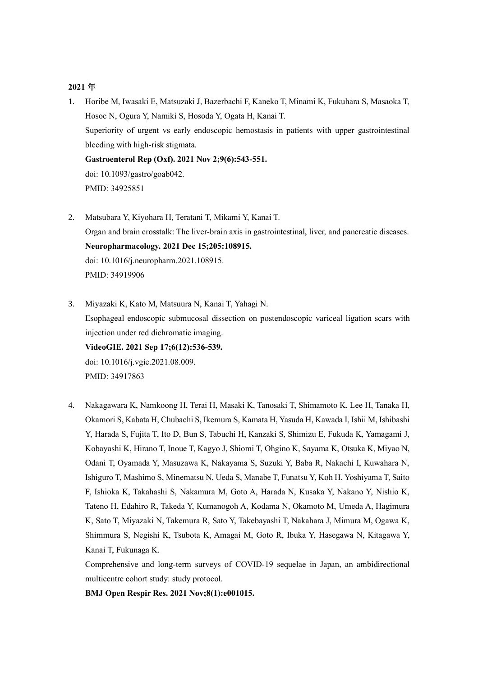## **2021** 年

1. Horibe M, Iwasaki E, Matsuzaki J, Bazerbachi F, Kaneko T, Minami K, Fukuhara S, Masaoka T, Hosoe N, Ogura Y, Namiki S, Hosoda Y, Ogata H, Kanai T. [Superiority of urgent vs early endoscopic hemostasis in patients with upper gastrointestinal](https://pubmed.ncbi.nlm.nih.gov/34925851/)  [bleeding with high-risk stigmata.](https://pubmed.ncbi.nlm.nih.gov/34925851/) **Gastroenterol Rep (Oxf). 2021 Nov 2;9(6):543-551.** 

doi: 10.1093/gastro/goab042. PMID: 34925851

- 2. Matsubara Y, Kiyohara H, Teratani T, Mikami Y, Kanai T. [Organ and brain crosstalk: The liver-brain axis in gastrointestinal, liver, and pancreatic diseases.](https://pubmed.ncbi.nlm.nih.gov/34919906/) **Neuropharmacology. 2021 Dec 15;205:108915.**  doi: 10.1016/j.neuropharm.2021.108915. PMID: 34919906
- 3. Miyazaki K, Kato M, Matsuura N, Kanai T, Yahagi N. [Esophageal endoscopic submucosal dissection on postendoscopic variceal ligation scars with](https://pubmed.ncbi.nlm.nih.gov/34917863/)  [injection under red dichromatic imaging.](https://pubmed.ncbi.nlm.nih.gov/34917863/) **VideoGIE. 2021 Sep 17;6(12):536-539.**  doi: 10.1016/j.vgie.2021.08.009.

PMID: 34917863

4. Nakagawara K, Namkoong H, Terai H, Masaki K, Tanosaki T, Shimamoto K, Lee H, Tanaka H, Okamori S, Kabata H, Chubachi S, Ikemura S, Kamata H, Yasuda H, Kawada I, Ishii M, Ishibashi Y, Harada S, Fujita T, Ito D, Bun S, Tabuchi H, Kanzaki S, Shimizu E, Fukuda K, Yamagami J, Kobayashi K, Hirano T, Inoue T, Kagyo J, Shiomi T, Ohgino K, Sayama K, Otsuka K, Miyao N, Odani T, Oyamada Y, Masuzawa K, Nakayama S, Suzuki Y, Baba R, Nakachi I, Kuwahara N, Ishiguro T, Mashimo S, Minematsu N, Ueda S, Manabe T, Funatsu Y, Koh H, Yoshiyama T, Saito F, Ishioka K, Takahashi S, Nakamura M, Goto A, Harada N, Kusaka Y, Nakano Y, Nishio K, Tateno H, Edahiro R, Takeda Y, Kumanogoh A, Kodama N, Okamoto M, Umeda A, Hagimura K, Sato T, Miyazaki N, Takemura R, Sato Y, Takebayashi T, Nakahara J, Mimura M, Ogawa K, Shimmura S, Negishi K, Tsubota K, Amagai M, Goto R, Ibuka Y, Hasegawa N, Kitagawa Y, Kanai T, Fukunaga K.

[Comprehensive and long-term surveys of COVID-19 sequelae in Japan, an ambidirectional](https://pubmed.ncbi.nlm.nih.gov/34836924/)  [multicentre cohort study: study protocol.](https://pubmed.ncbi.nlm.nih.gov/34836924/)

**BMJ Open Respir Res. 2021 Nov;8(1):e001015.**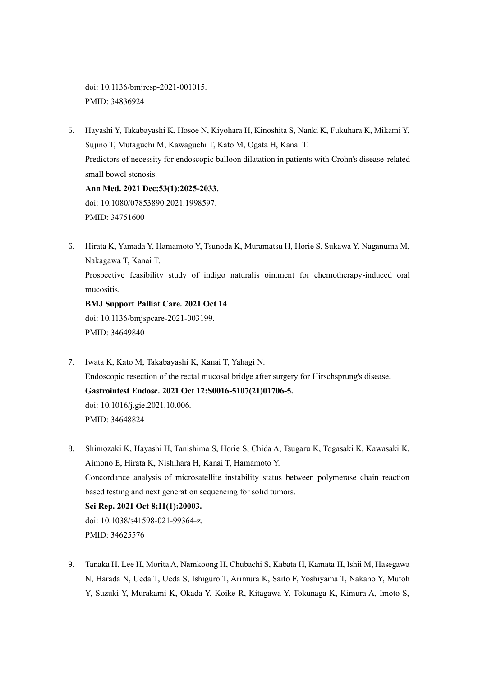doi: 10.1136/bmjresp-2021-001015. PMID: 34836924

5. Hayashi Y, Takabayashi K, Hosoe N, Kiyohara H, Kinoshita S, Nanki K, Fukuhara K, Mikami Y, Sujino T, Mutaguchi M, Kawaguchi T, Kato M, Ogata H, Kanai T. [Predictors of necessity for endoscopic balloon dilatation in patients with Crohn's disease-related](https://pubmed.ncbi.nlm.nih.gov/34751600/)  [small bowel stenosis.](https://pubmed.ncbi.nlm.nih.gov/34751600/) **Ann Med. 2021 Dec;53(1):2025-2033.**

doi: 10.1080/07853890.2021.1998597. PMID: 34751600

6. Hirata K, Yamada Y, Hamamoto Y, Tsunoda K, Muramatsu H, Horie S, Sukawa Y, Naganuma M, Nakagawa T, Kanai T.

[Prospective feasibility study of indigo naturalis ointment for chemotherapy-induced oral](https://pubmed.ncbi.nlm.nih.gov/34649840/)  [mucositis.](https://pubmed.ncbi.nlm.nih.gov/34649840/)

**BMJ Support Palliat Care. 2021 Oct 14** doi: 10.1136/bmjspcare-2021-003199. PMID: 34649840

- 7. Iwata K, Kato M, Takabayashi K, Kanai T, Yahagi N. [Endoscopic resection of the rectal mucosal bridge after surgery for Hirschsprung's disease.](https://pubmed.ncbi.nlm.nih.gov/34648824/) **Gastrointest Endosc. 2021 Oct 12:S0016-5107(21)01706-5.**  doi: 10.1016/j.gie.2021.10.006. PMID: 34648824
- 8. Shimozaki K, Hayashi H, Tanishima S, Horie S, Chida A, Tsugaru K, Togasaki K, Kawasaki K, Aimono E, Hirata K, Nishihara H, Kanai T, Hamamoto Y. [Concordance analysis of microsatellite instability status between polymerase chain reaction](https://pubmed.ncbi.nlm.nih.gov/34625576/)  [based testing and next generation sequencing for solid tumors.](https://pubmed.ncbi.nlm.nih.gov/34625576/) **Sci Rep. 2021 Oct 8;11(1):20003.**  doi: 10.1038/s41598-021-99364-z.

9. Tanaka H, Lee H, Morita A, Namkoong H, Chubachi S, Kabata H, Kamata H, Ishii M, Hasegawa N, Harada N, Ueda T, Ueda S, Ishiguro T, Arimura K, Saito F, Yoshiyama T, Nakano Y, Mutoh Y, Suzuki Y, Murakami K, Okada Y, Koike R, Kitagawa Y, Tokunaga K, Kimura A, Imoto S,

PMID: 34625576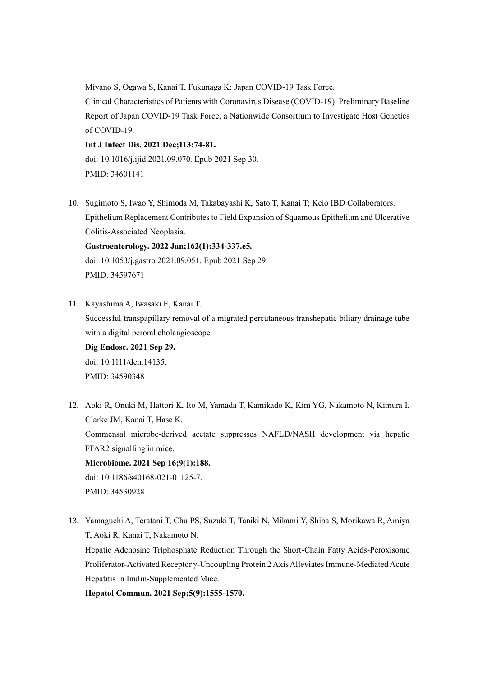Miyano S, Ogawa S, Kanai T, Fukunaga K; Japan COVID-19 Task Force. [Clinical Characteristics of Patients with Coronavirus Disease \(COVID-19\): Preliminary Baseline](https://pubmed.ncbi.nlm.nih.gov/34601141/)  [Report of Japan COVID-19 Task Force, a Nationwide Consortium to Investigate Host Genetics](https://pubmed.ncbi.nlm.nih.gov/34601141/)  [of COVID-19.](https://pubmed.ncbi.nlm.nih.gov/34601141/)

**Int J Infect Dis. 2021 Dec;113:74-81.**  doi: 10.1016/j.ijid.2021.09.070. Epub 2021 Sep 30. PMID: 34601141

10. Sugimoto S, Iwao Y, Shimoda M, Takabayashi K, Sato T, Kanai T; Keio IBD Collaborators. [Epithelium Replacement Contributes to Field Expansion of Squamous Epithelium and Ulcerative](https://pubmed.ncbi.nlm.nih.gov/34597671/)  [Colitis-Associated Neoplasia.](https://pubmed.ncbi.nlm.nih.gov/34597671/)

**Gastroenterology. 2022 Jan;162(1):334-337.e5.**  doi: 10.1053/j.gastro.2021.09.051. Epub 2021 Sep 29. PMID: 34597671

- 11. Kayashima A, Iwasaki E, Kanai T. [Successful transpapillary removal of a migrated percutaneous transhepatic biliary drainage tube](https://pubmed.ncbi.nlm.nih.gov/34590348/)  [with a digital peroral cholangioscope.](https://pubmed.ncbi.nlm.nih.gov/34590348/) **Dig Endosc. 2021 Sep 29.**  doi: 10.1111/den.14135. PMID: 34590348
- 12. Aoki R, Onuki M, Hattori K, Ito M, Yamada T, Kamikado K, Kim YG, Nakamoto N, Kimura I, Clarke JM, Kanai T, Hase K. [Commensal microbe-derived acetate suppresses NAFLD/NASH development via hepatic](https://pubmed.ncbi.nlm.nih.gov/34530928/)  [FFAR2 signalling in mice.](https://pubmed.ncbi.nlm.nih.gov/34530928/) **Microbiome. 2021 Sep 16;9(1):188.**  doi: 10.1186/s40168-021-01125-7. PMID: 34530928
- 13. Yamaguchi A, Teratani T, Chu PS, Suzuki T, Taniki N, Mikami Y, Shiba S, Morikawa R, Amiya T, Aoki R, Kanai T, Nakamoto N. [Hepatic Adenosine Triphosphate Reduction Through the Short-Chain Fatty Acids-Peroxisome](https://pubmed.ncbi.nlm.nih.gov/34510840/)  [Proliferator-Activated Receptor γ-Uncoupling Protein 2 Axis Alleviates Immune-Mediated Acute](https://pubmed.ncbi.nlm.nih.gov/34510840/)  [Hepatitis in Inulin-Supplemented Mice.](https://pubmed.ncbi.nlm.nih.gov/34510840/)

**Hepatol Commun. 2021 Sep;5(9):1555-1570.**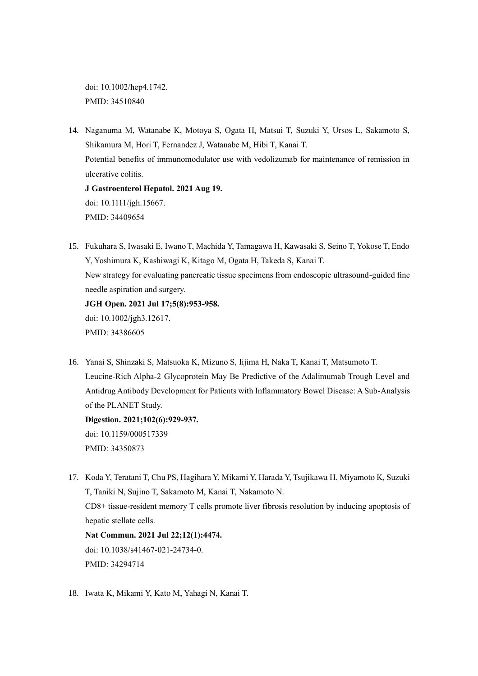doi: 10.1002/hep4.1742. PMID: 34510840

14. Naganuma M, Watanabe K, Motoya S, Ogata H, Matsui T, Suzuki Y, Ursos L, Sakamoto S, Shikamura M, Hori T, Fernandez J, Watanabe M, Hibi T, Kanai T. [Potential benefits of immunomodulator use with vedolizumab for maintenance of remission in](https://pubmed.ncbi.nlm.nih.gov/34409654/)  [ulcerative colitis.](https://pubmed.ncbi.nlm.nih.gov/34409654/) **J Gastroenterol Hepatol. 2021 Aug 19.**  doi: 10.1111/jgh.15667.

PMID: 34409654

15. Fukuhara S, Iwasaki E, Iwano T, Machida Y, Tamagawa H, Kawasaki S, Seino T, Yokose T, Endo Y, Yoshimura K, Kashiwagi K, Kitago M, Ogata H, Takeda S, Kanai T. [New strategy for evaluating pancreatic tissue specimens from endoscopic ultrasound-guided fine](https://pubmed.ncbi.nlm.nih.gov/34386605/)  [needle aspiration and surgery.](https://pubmed.ncbi.nlm.nih.gov/34386605/) **JGH Open. 2021 Jul 17;5(8):953-958.** 

doi: 10.1002/jgh3.12617. PMID: 34386605

16. Yanai S, Shinzaki S, Matsuoka K, Mizuno S, Iijima H, Naka T, Kanai T, Matsumoto T. [Leucine-Rich Alpha-2 Glycoprotein May Be Predictive of the Adalimumab Trough Level and](https://pubmed.ncbi.nlm.nih.gov/34350873/)  [Antidrug Antibody Development for Patients with Inflammatory Bowel Disease: A Sub-Analysis](https://pubmed.ncbi.nlm.nih.gov/34350873/)  [of the PLANET Study.](https://pubmed.ncbi.nlm.nih.gov/34350873/)

**Digestion. 2021;102(6):929-937.**  doi: 10.1159/000517339 PMID: 34350873

- 17. Koda Y, Teratani T, Chu PS, Hagihara Y, Mikami Y, Harada Y, Tsujikawa H, Miyamoto K, Suzuki T, Taniki N, Sujino T, Sakamoto M, Kanai T, Nakamoto N. CD8+ [tissue-resident memory T cells promote liver fibrosis resolution by inducing apoptosis of](https://pubmed.ncbi.nlm.nih.gov/34294714/)  [hepatic stellate cells.](https://pubmed.ncbi.nlm.nih.gov/34294714/) **Nat Commun. 2021 Jul 22;12(1):4474.**  doi: 10.1038/s41467-021-24734-0. PMID: 34294714
- 18. Iwata K, Mikami Y, Kato M, Yahagi N, Kanai T.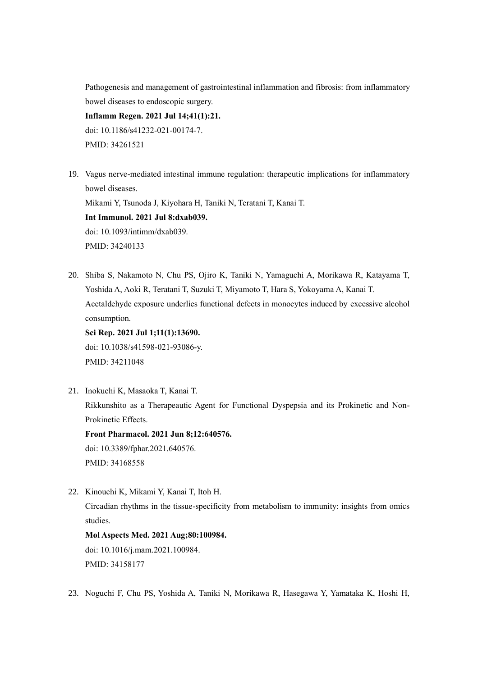[Pathogenesis and management of gastrointestinal inflammation and fibrosis: from inflammatory](https://pubmed.ncbi.nlm.nih.gov/34261521/)  [bowel diseases to endoscopic surgery.](https://pubmed.ncbi.nlm.nih.gov/34261521/)

## **Inflamm Regen. 2021 Jul 14;41(1):21.**  doi: 10.1186/s41232-021-00174-7. PMID: 34261521

19. [Vagus nerve-mediated intestinal immune regulation: therapeutic implications for inflammatory](https://pubmed.ncbi.nlm.nih.gov/34240133/)  [bowel diseases.](https://pubmed.ncbi.nlm.nih.gov/34240133/) Mikami Y, Tsunoda J, Kiyohara H, Taniki N, Teratani T, Kanai T. **Int Immunol. 2021 Jul 8:dxab039.**  doi: 10.1093/intimm/dxab039. PMID: 34240133

20. Shiba S, Nakamoto N, Chu PS, Ojiro K, Taniki N, Yamaguchi A, Morikawa R, Katayama T, Yoshida A, Aoki R, Teratani T, Suzuki T, Miyamoto T, Hara S, Yokoyama A, Kanai T. [Acetaldehyde exposure underlies functional defects in monocytes induced by excessive alcohol](https://pubmed.ncbi.nlm.nih.gov/34211048/)  [consumption.](https://pubmed.ncbi.nlm.nih.gov/34211048/)

**Sci Rep. 2021 Jul 1;11(1):13690.**  doi: 10.1038/s41598-021-93086-y. PMID: 34211048

21. Inokuchi K, Masaoka T, Kanai T. [Rikkunshito as a Therapeautic Agent for Functional Dyspepsia and its Prokinetic and Non-](https://pubmed.ncbi.nlm.nih.gov/34168558/)[Prokinetic Effects.](https://pubmed.ncbi.nlm.nih.gov/34168558/) **Front Pharmacol. 2021 Jun 8;12:640576.** 

doi: 10.3389/fphar.2021.640576. PMID: 34168558

22. Kinouchi K, Mikami Y, Kanai T, Itoh H. [Circadian rhythms in the tissue-specificity from metabolism to immunity: insights from omics](https://pubmed.ncbi.nlm.nih.gov/34158177/)  [studies.](https://pubmed.ncbi.nlm.nih.gov/34158177/)

**Mol Aspects Med. 2021 Aug;80:100984.**  doi: 10.1016/j.mam.2021.100984. PMID: 34158177

23. Noguchi F, Chu PS, Yoshida A, Taniki N, Morikawa R, Hasegawa Y, Yamataka K, Hoshi H,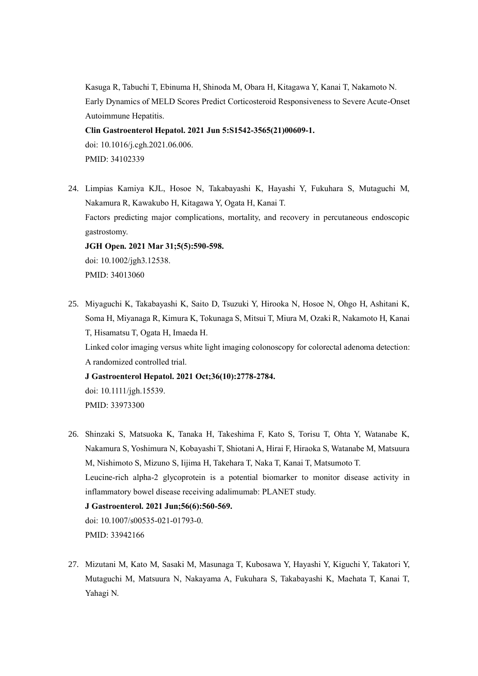Kasuga R, Tabuchi T, Ebinuma H, Shinoda M, Obara H, Kitagawa Y, Kanai T, Nakamoto N. [Early Dynamics of MELD Scores Predict Corticosteroid Responsiveness to Severe Acute-Onset](https://pubmed.ncbi.nlm.nih.gov/34102339/)  [Autoimmune Hepatitis.](https://pubmed.ncbi.nlm.nih.gov/34102339/)

**Clin Gastroenterol Hepatol. 2021 Jun 5:S1542-3565(21)00609-1.** 

doi: 10.1016/j.cgh.2021.06.006. PMID: 34102339

24. Limpias Kamiya KJL, Hosoe N, Takabayashi K, Hayashi Y, Fukuhara S, Mutaguchi M, Nakamura R, Kawakubo H, Kitagawa Y, Ogata H, Kanai T. [Factors predicting major complications, mortality, and recovery in percutaneous endoscopic](https://pubmed.ncbi.nlm.nih.gov/34013060/)  [gastrostomy.](https://pubmed.ncbi.nlm.nih.gov/34013060/) **JGH Open. 2021 Mar 31;5(5):590-598.** 

doi: 10.1002/jgh3.12538. PMID: 34013060

25. Miyaguchi K, Takabayashi K, Saito D, Tsuzuki Y, Hirooka N, Hosoe N, Ohgo H, Ashitani K, Soma H, Miyanaga R, Kimura K, Tokunaga S, Mitsui T, Miura M, Ozaki R, Nakamoto H, Kanai T, Hisamatsu T, Ogata H, Imaeda H.

[Linked color imaging versus white light imaging colonoscopy for colorectal adenoma detection:](https://pubmed.ncbi.nlm.nih.gov/33973300/)  [A randomized controlled trial.](https://pubmed.ncbi.nlm.nih.gov/33973300/)

**J Gastroenterol Hepatol. 2021 Oct;36(10):2778-2784.**  doi: 10.1111/jgh.15539. PMID: 33973300

26. Shinzaki S, Matsuoka K, Tanaka H, Takeshima F, Kato S, Torisu T, Ohta Y, Watanabe K, Nakamura S, Yoshimura N, Kobayashi T, Shiotani A, Hirai F, Hiraoka S, Watanabe M, Matsuura M, Nishimoto S, Mizuno S, Iijima H, Takehara T, Naka T, Kanai T, Matsumoto T. [Leucine-rich alpha-2 glycoprotein is a potential biomarker to monitor disease activity in](https://pubmed.ncbi.nlm.nih.gov/33942166/)  [inflammatory bowel disease receiving adalimumab: PLANET study.](https://pubmed.ncbi.nlm.nih.gov/33942166/)

## **J Gastroenterol. 2021 Jun;56(6):560-569.**

doi: 10.1007/s00535-021-01793-0. PMID: 33942166

27. Mizutani M, Kato M, Sasaki M, Masunaga T, Kubosawa Y, Hayashi Y, Kiguchi Y, Takatori Y, Mutaguchi M, Matsuura N, Nakayama A, Fukuhara S, Takabayashi K, Maehata T, Kanai T, Yahagi N.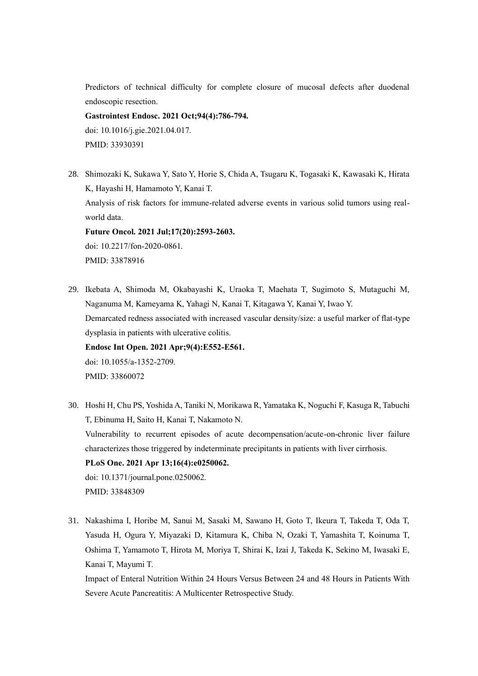[Predictors of technical difficulty for complete closure of mucosal defects after duodenal](https://pubmed.ncbi.nlm.nih.gov/33930391/)  [endoscopic resection.](https://pubmed.ncbi.nlm.nih.gov/33930391/)

**Gastrointest Endosc. 2021 Oct;94(4):786-794.** 

doi: 10.1016/j.gie.2021.04.017. PMID: 33930391

28. Shimozaki K, Sukawa Y, Sato Y, Horie S, Chida A, Tsugaru K, Togasaki K, Kawasaki K, Hirata K, Hayashi H, Hamamoto Y, Kanai T. [Analysis of risk factors for immune-related adverse events in various solid tumors using real](https://pubmed.ncbi.nlm.nih.gov/33878916/)[world data.](https://pubmed.ncbi.nlm.nih.gov/33878916/) **Future Oncol. 2021 Jul;17(20):2593-2603.**  doi: 10.2217/fon-2020-0861.

PMID: 33878916

29. Ikebata A, Shimoda M, Okabayashi K, Uraoka T, Maehata T, Sugimoto S, Mutaguchi M, Naganuma M, Kameyama K, Yahagi N, Kanai T, Kitagawa Y, Kanai Y, Iwao Y. Demarcated redness associated with increased [vascular density/size: a useful marker of flat-type](https://pubmed.ncbi.nlm.nih.gov/33860072/)  [dysplasia in patients with ulcerative colitis.](https://pubmed.ncbi.nlm.nih.gov/33860072/)

**Endosc Int Open. 2021 Apr;9(4):E552-E561.**  doi: 10.1055/a-1352-2709. PMID: 33860072

- 30. Hoshi H, Chu PS, Yoshida A, Taniki N, Morikawa R, Yamataka K, Noguchi F, Kasuga R, Tabuchi T, Ebinuma H, Saito H, Kanai T, Nakamoto N. [Vulnerability to recurrent episodes of acute decompensation/acute-on-chronic liver failure](https://pubmed.ncbi.nlm.nih.gov/33848309/)  [characterizes those triggered by indeterminate precipitants in patients with liver cirrhosis.](https://pubmed.ncbi.nlm.nih.gov/33848309/) **PLoS One. 2021 Apr 13;16(4):e0250062.**  doi: 10.1371/journal.pone.0250062. PMID: 33848309
- 31. Nakashima I, Horibe M, Sanui M, Sasaki M, Sawano H, Goto T, Ikeura T, Takeda T, Oda T, Yasuda H, Ogura Y, Miyazaki D, Kitamura K, Chiba N, Ozaki T, Yamashita T, Koinuma T, Oshima T, Yamamoto T, Hirota M, Moriya T, Shirai K, Izai J, Takeda K, Sekino M, Iwasaki E, Kanai T, Mayumi T.

[Impact of Enteral Nutrition Within 24 Hours Versus Between 24 and 48 Hours in Patients With](https://pubmed.ncbi.nlm.nih.gov/33835968/)  [Severe Acute Pancreatitis: A Multicenter Retrospective Study.](https://pubmed.ncbi.nlm.nih.gov/33835968/)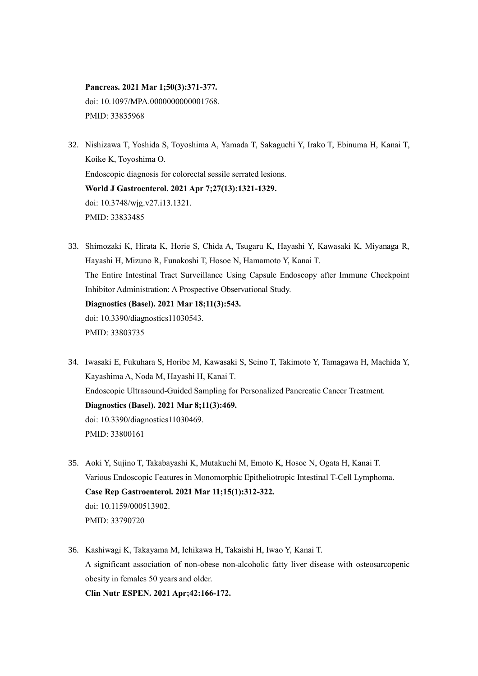**Pancreas. 2021 Mar 1;50(3):371-377.**  doi: 10.1097/MPA.0000000000001768. PMID: 33835968

- 32. Nishizawa T, Yoshida S, Toyoshima A, Yamada T, Sakaguchi Y, Irako T, Ebinuma H, Kanai T, Koike K, Toyoshima O. [Endoscopic diagnosis for colorectal sessile serrated lesions.](https://pubmed.ncbi.nlm.nih.gov/33833485/) **World J Gastroenterol. 2021 Apr 7;27(13):1321-1329.**  doi: 10.3748/wjg.v27.i13.1321. PMID: 33833485
- 33. Shimozaki K, Hirata K, Horie S, Chida A, Tsugaru K, Hayashi Y, Kawasaki K, Miyanaga R, Hayashi H, Mizuno R, Funakoshi T, Hosoe N, Hamamoto Y, Kanai T. [The Entire Intestinal Tract Surveillance Using Capsule Endoscopy after Immune Checkpoint](https://pubmed.ncbi.nlm.nih.gov/33803735/)  [Inhibitor Administration: A Prospective Observational Study.](https://pubmed.ncbi.nlm.nih.gov/33803735/) **Diagnostics (Basel). 2021 Mar 18;11(3):543.**  doi: 10.3390/diagnostics11030543. PMID: 33803735
- 34. Iwasaki E, Fukuhara S, Horibe M, Kawasaki S, Seino T, Takimoto Y, Tamagawa H, Machida Y, Kayashima A, Noda M, Hayashi H, Kanai T. [Endoscopic Ultrasound-Guided Sampling for Personalized Pancreatic Cancer Treatment.](https://pubmed.ncbi.nlm.nih.gov/33800161/) **Diagnostics (Basel). 2021 Mar 8;11(3):469.**  doi: 10.3390/diagnostics11030469. PMID: 33800161
- 35. Aoki Y, Sujino T, Takabayashi K, Mutakuchi M, Emoto K, Hosoe N, Ogata H, Kanai T. [Various Endoscopic Features in Monomorphic Epitheliotropic Intestinal T-Cell Lymphoma.](https://pubmed.ncbi.nlm.nih.gov/33790720/) **Case Rep Gastroenterol. 2021 Mar 11;15(1):312-322.**  doi: 10.1159/000513902. PMID: 33790720
- 36. Kashiwagi K, Takayama M, Ichikawa H, Takaishi H, Iwao Y, Kanai T. [A significant association of non-obese non-alcoholic fatty liver disease with osteosarcopenic](https://pubmed.ncbi.nlm.nih.gov/33745573/)  [obesity in females 50 years and older.](https://pubmed.ncbi.nlm.nih.gov/33745573/) **Clin Nutr ESPEN. 2021 Apr;42:166-172.**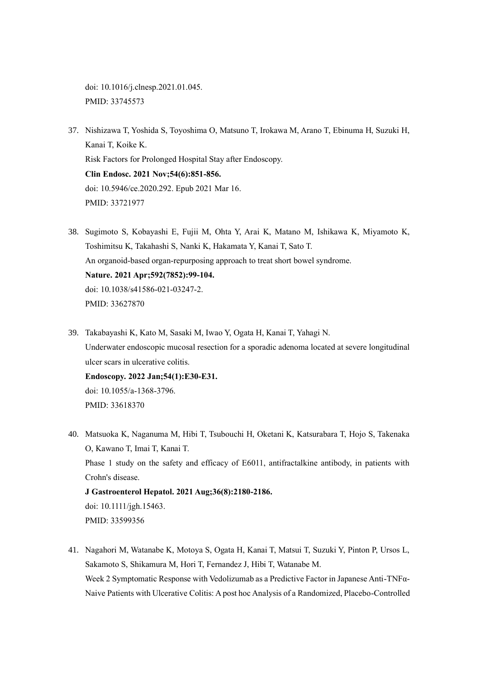doi: 10.1016/j.clnesp.2021.01.045. PMID: 33745573

- 37. Nishizawa T, Yoshida S, Toyoshima O, Matsuno T, Irokawa M, Arano T, Ebinuma H, Suzuki H, Kanai T, Koike K. [Risk Factors for Prolonged Hospital Stay after Endoscopy.](https://pubmed.ncbi.nlm.nih.gov/33721977/) **Clin Endosc. 2021 Nov;54(6):851-856.**  doi: 10.5946/ce.2020.292. Epub 2021 Mar 16. PMID: 33721977
- 38. Sugimoto S, Kobayashi E, Fujii M, Ohta Y, Arai K, Matano M, Ishikawa K, Miyamoto K, Toshimitsu K, Takahashi S, Nanki K, Hakamata Y, Kanai T, Sato T. [An organoid-based organ-repurposing approach to treat short bowel syndrome.](https://pubmed.ncbi.nlm.nih.gov/33627870/) **Nature. 2021 Apr;592(7852):99-104.**  doi: 10.1038/s41586-021-03247-2. PMID: 33627870
- 39. Takabayashi K, Kato M, Sasaki M, Iwao Y, Ogata H, Kanai T, Yahagi N. [Underwater endoscopic mucosal resection for a sporadic adenoma located at severe longitudinal](https://pubmed.ncbi.nlm.nih.gov/33618370/)  [ulcer scars in ulcerative colitis.](https://pubmed.ncbi.nlm.nih.gov/33618370/)

**Endoscopy. 2022 Jan;54(1):E30-E31.**  doi: 10.1055/a-1368-3796. PMID: 33618370

- 40. Matsuoka K, Naganuma M, Hibi T, Tsubouchi H, Oketani K, Katsurabara T, Hojo S, Takenaka O, Kawano T, Imai T, Kanai T. [Phase 1 study on the safety and efficacy of E6011, antifractalkine antibody, in patients with](https://pubmed.ncbi.nlm.nih.gov/33599356/)  [Crohn's disease.](https://pubmed.ncbi.nlm.nih.gov/33599356/) **J Gastroenterol Hepatol. 2021 Aug;36(8):2180-2186.**  doi: 10.1111/jgh.15463. PMID: 33599356
- 41. Nagahori M, Watanabe K, Motoya S, Ogata H, Kanai T, Matsui T, Suzuki Y, Pinton P, Ursos L, Sakamoto S, Shikamura M, Hori T, Fernandez J, Hibi T, Watanabe M. [Week 2 Symptomatic Response with Vedolizumab as a Predictive Factor in Japanese Anti-TNFα-](https://pubmed.ncbi.nlm.nih.gov/33454706/)[Naive Patients with Ulcerative Colitis: A post hoc Analysis of a Randomized, Placebo-Controlled](https://pubmed.ncbi.nlm.nih.gov/33454706/)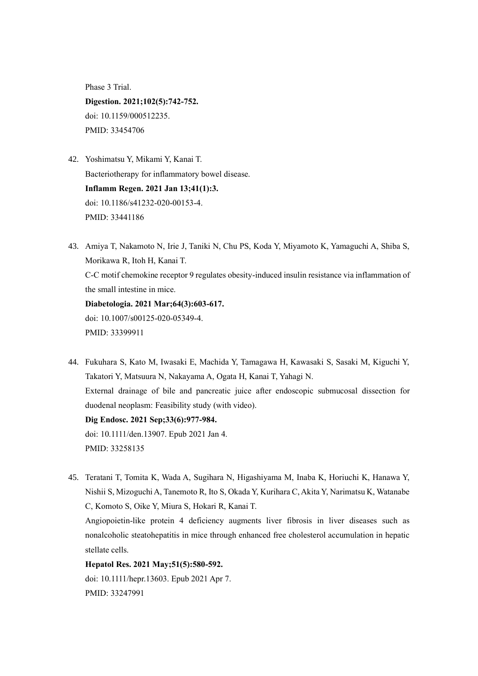[Phase 3 Trial.](https://pubmed.ncbi.nlm.nih.gov/33454706/) **Digestion. 2021;102(5):742-752.**  doi: 10.1159/000512235. PMID: 33454706

42. Yoshimatsu Y, Mikami Y, Kanai T. [Bacteriotherapy for inflammatory bowel disease.](https://pubmed.ncbi.nlm.nih.gov/33441186/) **Inflamm Regen. 2021 Jan 13;41(1):3.**  doi: 10.1186/s41232-020-00153-4. PMID: 33441186

43. Amiya T, Nakamoto N, Irie J, Taniki N, Chu PS, Koda Y, Miyamoto K, Yamaguchi A, Shiba S, Morikawa R, Itoh H, Kanai T.

[C-C motif chemokine receptor 9 regulates obesity-induced insulin resistance via inflammation of](https://pubmed.ncbi.nlm.nih.gov/33399911/)  [the small intestine in mice.](https://pubmed.ncbi.nlm.nih.gov/33399911/)

**Diabetologia. 2021 Mar;64(3):603-617.**  doi: 10.1007/s00125-020-05349-4. PMID: 33399911

44. Fukuhara S, Kato M, Iwasaki E, Machida Y, Tamagawa H, Kawasaki S, Sasaki M, Kiguchi Y, Takatori Y, Matsuura N, Nakayama A, Ogata H, Kanai T, Yahagi N. [External drainage of bile and pancreatic juice after endoscopic submucosal dissection for](https://pubmed.ncbi.nlm.nih.gov/33258135/)  duodenal neoplasm: [Feasibility study \(with video\).](https://pubmed.ncbi.nlm.nih.gov/33258135/) **Dig Endosc. 2021 Sep;33(6):977-984.** 

doi: 10.1111/den.13907. Epub 2021 Jan 4. PMID: 33258135

45. Teratani T, Tomita K, Wada A, Sugihara N, Higashiyama M, Inaba K, Horiuchi K, Hanawa Y, Nishii S, Mizoguchi A, Tanemoto R, Ito S, Okada Y, Kurihara C, Akita Y, Narimatsu K, Watanabe C, Komoto S, Oike Y, Miura S, Hokari R, Kanai T.

[Angiopoietin-like protein 4 deficiency augments liver fibrosis in liver diseases such as](https://pubmed.ncbi.nlm.nih.gov/33247991/)  [nonalcoholic steatohepatitis in mice through enhanced free cholesterol accumulation in hepatic](https://pubmed.ncbi.nlm.nih.gov/33247991/)  [stellate cells.](https://pubmed.ncbi.nlm.nih.gov/33247991/)

**Hepatol Res. 2021 May;51(5):580-592.**  doi: 10.1111/hepr.13603. Epub 2021 Apr 7. PMID: 33247991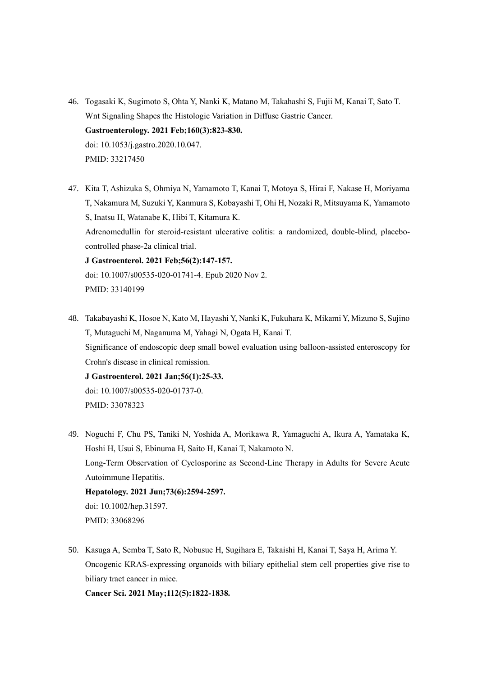- 46. Togasaki K, Sugimoto S, Ohta Y, Nanki K, Matano M, Takahashi S, Fujii M, Kanai T, Sato T. [Wnt Signaling Shapes the Histologic Variation in Diffuse Gastric Cancer.](https://pubmed.ncbi.nlm.nih.gov/33217450/) **Gastroenterology. 2021 Feb;160(3):823-830.**  doi: 10.1053/j.gastro.2020.10.047. PMID: 33217450
- 47. Kita T, Ashizuka S, Ohmiya N, Yamamoto T, Kanai T, Motoya S, Hirai F, Nakase H, Moriyama T, Nakamura M, Suzuki Y, Kanmura S, Kobayashi T, Ohi H, Nozaki R, Mitsuyama K, Yamamoto S, Inatsu H, Watanabe K, Hibi T, Kitamura K.

[Adrenomedullin for steroid-resistant ulcerative colitis: a randomized, double-blind, placebo](https://pubmed.ncbi.nlm.nih.gov/33140199/)[controlled phase-2a clinical trial.](https://pubmed.ncbi.nlm.nih.gov/33140199/)

**J Gastroenterol. 2021 Feb;56(2):147-157.**  doi: 10.1007/s00535-020-01741-4. Epub 2020 Nov 2. PMID: 33140199

48. Takabayashi K, Hosoe N, Kato M, Hayashi Y, Nanki K, Fukuhara K, Mikami Y, Mizuno S, Sujino T, Mutaguchi M, Naganuma M, Yahagi N, Ogata H, Kanai T. [Significance of endoscopic deep small bowel evaluation using balloon-assisted enteroscopy for](https://pubmed.ncbi.nlm.nih.gov/33078323/)  [Crohn's disease in clinical remission.](https://pubmed.ncbi.nlm.nih.gov/33078323/)

**J Gastroenterol. 2021 Jan;56(1):25-33.**  doi: 10.1007/s00535-020-01737-0. PMID: 33078323

- 49. Noguchi F, Chu PS, Taniki N, Yoshida A, Morikawa R, Yamaguchi A, Ikura A, Yamataka K, Hoshi H, Usui S, Ebinuma H, Saito H, Kanai T, Nakamoto N. [Long-Term Observation of Cyclosporine as Second-Line Therapy in Adults for Severe Acute](https://pubmed.ncbi.nlm.nih.gov/33068296/)  [Autoimmune Hepatitis.](https://pubmed.ncbi.nlm.nih.gov/33068296/) **Hepatology. 2021 Jun;73(6):2594-2597.**  doi: 10.1002/hep.31597. PMID: 33068296
- 50. Kasuga A, Semba T, Sato R, Nobusue H, Sugihara E, Takaishi H, Kanai T, Saya H, Arima Y. [Oncogenic KRAS-expressing organoids with biliary epithelial stem cell properties give rise to](https://pubmed.ncbi.nlm.nih.gov/33068050/)  [biliary tract cancer in mice.](https://pubmed.ncbi.nlm.nih.gov/33068050/)

**Cancer Sci. 2021 May;112(5):1822-1838.**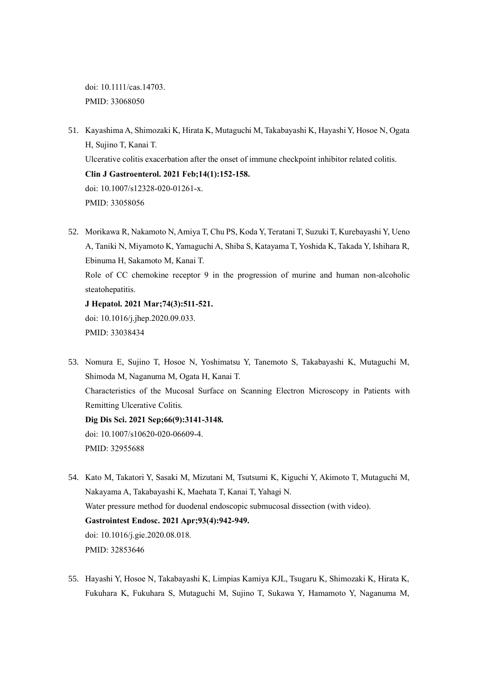doi: 10.1111/cas.14703. PMID: 33068050

- 51. Kayashima A, Shimozaki K, Hirata K, Mutaguchi M, Takabayashi K, Hayashi Y, Hosoe N, Ogata H, Sujino T, Kanai T. [Ulcerative colitis exacerbation after the onset of immune checkpoint inhibitor related colitis.](https://pubmed.ncbi.nlm.nih.gov/33058056/) **Clin J Gastroenterol. 2021 Feb;14(1):152-158.**  doi: 10.1007/s12328-020-01261-x. PMID: 33058056
- 52. Morikawa R, Nakamoto N, Amiya T, Chu PS, Koda Y, Teratani T, Suzuki T, Kurebayashi Y, Ueno A, Taniki N, Miyamoto K, Yamaguchi A, Shiba S, Katayama T, Yoshida K, Takada Y, Ishihara R, Ebinuma H, Sakamoto M, Kanai T.

[Role of CC chemokine receptor 9 in the progression of murine and human non-alcoholic](https://pubmed.ncbi.nlm.nih.gov/33038434/)  [steatohepatitis.](https://pubmed.ncbi.nlm.nih.gov/33038434/)

**J Hepatol. 2021 Mar;74(3):511-521.**  doi: 10.1016/j.jhep.2020.09.033. PMID: 33038434

53. Nomura E, Sujino T, Hosoe N, Yoshimatsu Y, Tanemoto S, Takabayashi K, Mutaguchi M, Shimoda M, Naganuma M, Ogata H, Kanai T. [Characteristics of the Mucosal Surface on Scanning Electron Microscopy in Patients with](https://pubmed.ncbi.nlm.nih.gov/32955688/)  [Remitting Ulcerative Colitis.](https://pubmed.ncbi.nlm.nih.gov/32955688/) **Dig Dis Sci. 2021 Sep;66(9):3141-3148.**  doi: 10.1007/s10620-020-06609-4.

PMID: 32955688

54. Kato M, Takatori Y, Sasaki M, Mizutani M, Tsutsumi K, Kiguchi Y, Akimoto T, Mutaguchi M, Nakayama A, Takabayashi K, Maehata T, Kanai T, Yahagi N. [Water pressure method for duodenal endoscopic submucosal dissection \(with video\).](https://pubmed.ncbi.nlm.nih.gov/32853646/) **Gastrointest Endosc. 2021 Apr;93(4):942-949.**  doi: 10.1016/j.gie.2020.08.018. PMID: 32853646

55. Hayashi Y, Hosoe N, Takabayashi K, Limpias Kamiya KJL, Tsugaru K, Shimozaki K, Hirata K, Fukuhara K, Fukuhara S, Mutaguchi M, Sujino T, Sukawa Y, Hamamoto Y, Naganuma M,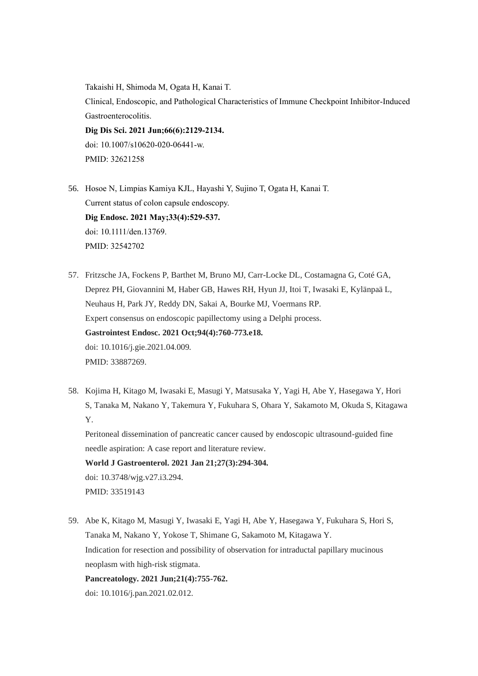Takaishi H, Shimoda M, Ogata H, Kanai T. [Clinical, Endoscopic, and Pathological Characteristics of Immune Checkpoint Inhibitor-Induced](https://pubmed.ncbi.nlm.nih.gov/32621258/)  [Gastroenterocolitis.](https://pubmed.ncbi.nlm.nih.gov/32621258/) **Dig Dis Sci. 2021 Jun;66(6):2129-2134.**  doi: 10.1007/s10620-020-06441-w.

56. Hosoe N, Limpias Kamiya KJL, Hayashi Y, Sujino T, Ogata H, Kanai T. [Current status of colon capsule endoscopy.](https://pubmed.ncbi.nlm.nih.gov/32542702/) **Dig Endosc. 2021 May;33(4):529-537.**  doi: 10.1111/den.13769. PMID: 32542702

57. Fritzsche JA, Fockens P, Barthet M, Bruno MJ, Carr-Locke DL, Costamagna G, Coté GA, Deprez PH, Giovannini M, Haber GB, Hawes RH, Hyun JJ, Itoi T, Iwasaki E, Kylänpaä L, Neuhaus H, Park JY, Reddy DN, Sakai A, Bourke MJ, Voermans RP. Expert consensus on endoscopic papillectomy using a Delphi process. **Gastrointest Endosc. 2021 Oct;94(4):760-773.e18.**  doi: 10.1016/j.gie.2021.04.009. PMID: 33887269.

58. Kojima H, Kitago M, Iwasaki E, Masugi Y, Matsusaka Y, Yagi H, Abe Y, Hasegawa Y, Hori S, Tanaka M, Nakano Y, Takemura Y, Fukuhara S, Ohara Y, Sakamoto M, Okuda S, Kitagawa Y.

Peritoneal dissemination of pancreatic cancer caused by endoscopic ultrasound-guided fine needle aspiration: A case report and literature review. **World J Gastroenterol. 2021 Jan 21;27(3):294-304.**  doi: 10.3748/wjg.v27.i3.294.

PMID: 33519143

PMID: 32621258

59. Abe K, Kitago M, Masugi Y, Iwasaki E, Yagi H, Abe Y, Hasegawa Y, Fukuhara S, Hori S, Tanaka M, Nakano Y, Yokose T, Shimane G, Sakamoto M, Kitagawa Y. Indication for resection and possibility of observation for intraductal papillary mucinous neoplasm with high-risk stigmata.

## **Pancreatology. 2021 Jun;21(4):755-762.**

doi: 10.1016/j.pan.2021.02.012.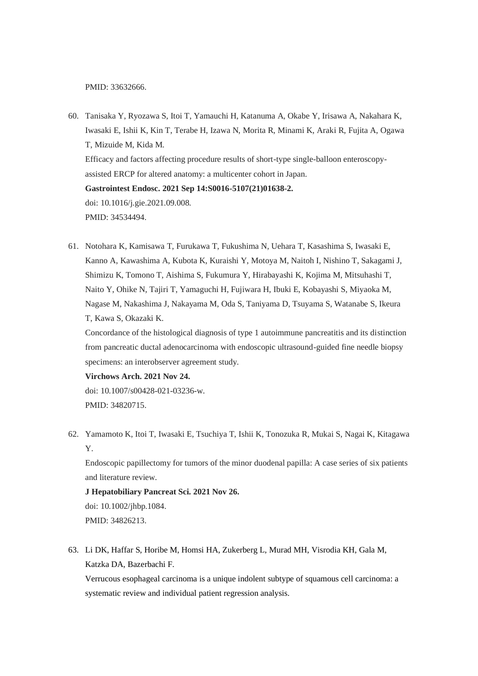PMID: 33632666.

- 60. Tanisaka Y, Ryozawa S, Itoi T, Yamauchi H, Katanuma A, Okabe Y, Irisawa A, Nakahara K, Iwasaki E, Ishii K, Kin T, Terabe H, Izawa N, Morita R, Minami K, Araki R, Fujita A, Ogawa T, Mizuide M, Kida M. Efficacy and factors affecting procedure results of short-type single-balloon enteroscopyassisted ERCP for altered anatomy: a multicenter cohort in Japan. **Gastrointest Endosc. 2021 Sep 14:S0016-5107(21)01638-2.**  doi: 10.1016/j.gie.2021.09.008. PMID: 34534494.
- 61. Notohara K, Kamisawa T, Furukawa T, Fukushima N, Uehara T, Kasashima S, Iwasaki E, Kanno A, Kawashima A, Kubota K, Kuraishi Y, Motoya M, Naitoh I, Nishino T, Sakagami J, Shimizu K, Tomono T, Aishima S, Fukumura Y, Hirabayashi K, Kojima M, Mitsuhashi T, Naito Y, Ohike N, Tajiri T, Yamaguchi H, Fujiwara H, Ibuki E, Kobayashi S, Miyaoka M, Nagase M, Nakashima J, Nakayama M, Oda S, Taniyama D, Tsuyama S, Watanabe S, Ikeura T, Kawa S, Okazaki K.

Concordance of the histological diagnosis of type 1 autoimmune pancreatitis and its distinction from pancreatic ductal adenocarcinoma with endoscopic ultrasound-guided fine needle biopsy specimens: an interobserver agreement study.

**Virchows Arch. 2021 Nov 24.** 

doi: 10.1007/s00428-021-03236-w. PMID: 34820715.

62. Yamamoto K, Itoi T, Iwasaki E, Tsuchiya T, Ishii K, Tonozuka R, Mukai S, Nagai K, Kitagawa Y.

Endoscopic papillectomy for tumors of the minor duodenal papilla: A case series of six patients and literature review.

**J Hepatobiliary Pancreat Sci. 2021 Nov 26.**  doi: 10.1002/jhbp.1084. PMID: 34826213.

63. Li DK, Haffar S, Horibe M, Homsi HA, Zukerberg L, Murad MH, Visrodia KH, Gala M, Katzka DA, Bazerbachi F.

Verrucous esophageal carcinoma is a unique indolent subtype of squamous cell carcinoma: a systematic review and individual patient regression analysis.